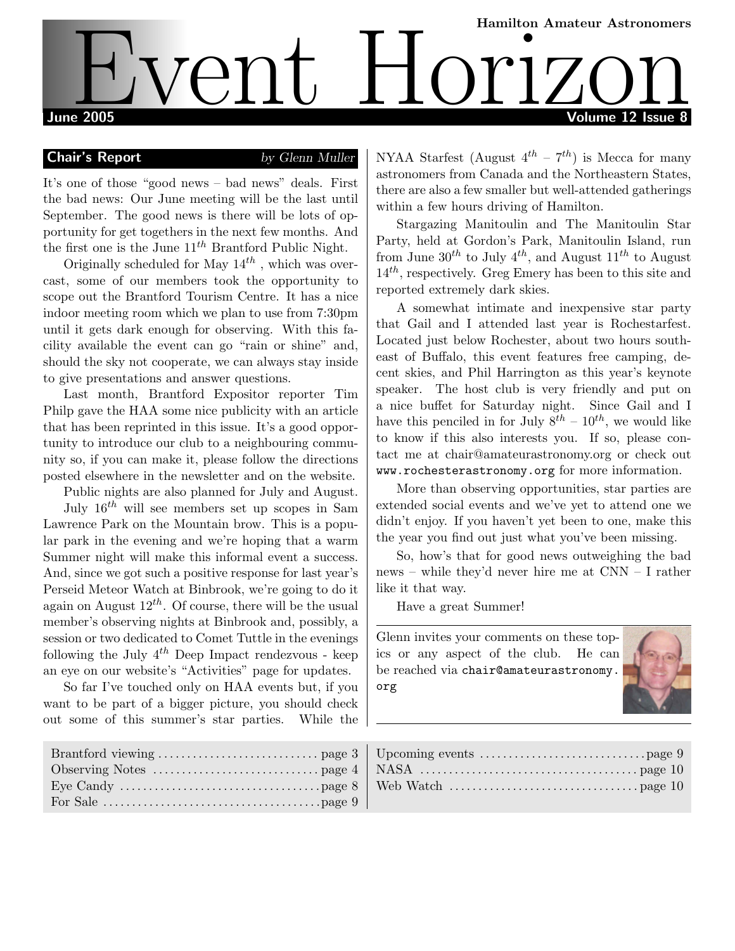# Hamilton Amateur Astronomers June 2005 Volume 12 Issue 8 Event Horizon Amateur Astronomers

# **Chair's Report** by Glenn Muller

It's one of those "good news – bad news" deals. First the bad news: Our June meeting will be the last until September. The good news is there will be lots of opportunity for get togethers in the next few months. And the first one is the June  $11^{th}$  Brantford Public Night.

Originally scheduled for May  $14^{th}$ , which was overcast, some of our members took the opportunity to scope out the Brantford Tourism Centre. It has a nice indoor meeting room which we plan to use from 7:30pm until it gets dark enough for observing. With this facility available the event can go "rain or shine" and, should the sky not cooperate, we can always stay inside to give presentations and answer questions.

Last month, Brantford Expositor reporter Tim Philp gave the HAA some nice publicity with an article that has been reprinted in this issue. It's a good opportunity to introduce our club to a neighbouring community so, if you can make it, please follow the directions posted elsewhere in the newsletter and on the website.

Public nights are also planned for July and August. July  $16^{th}$  will see members set up scopes in Sam

Lawrence Park on the Mountain brow. This is a popular park in the evening and we're hoping that a warm Summer night will make this informal event a success. And, since we got such a positive response for last year's Perseid Meteor Watch at Binbrook, we're going to do it again on August  $12^{th}$ . Of course, there will be the usual member's observing nights at Binbrook and, possibly, a session or two dedicated to Comet Tuttle in the evenings following the July  $4^{th}$  Deep Impact rendezvous - keep an eye on our website's "Activities" page for updates.

So far I've touched only on HAA events but, if you want to be part of a bigger picture, you should check out some of this summer's star parties. While the NYAA Starfest (August  $4^{th}$  –  $7^{th}$ ) is Mecca for many astronomers from Canada and the Northeastern States, there are also a few smaller but well-attended gatherings within a few hours driving of Hamilton.

Stargazing Manitoulin and The Manitoulin Star Party, held at Gordon's Park, Manitoulin Island, run from June  $30^{th}$  to July  $4^{th}$ , and August  $11^{th}$  to August  $14^{th}$ , respectively. Greg Emery has been to this site and reported extremely dark skies.

A somewhat intimate and inexpensive star party that Gail and I attended last year is Rochestarfest. Located just below Rochester, about two hours southeast of Buffalo, this event features free camping, decent skies, and Phil Harrington as this year's keynote speaker. The host club is very friendly and put on a nice buffet for Saturday night. Since Gail and I have this penciled in for July  $8^{th}$  –  $10^{th}$ , we would like to know if this also interests you. If so, please contact me at chair@amateurastronomy.org or check out www.rochesterastronomy.org for more information.

More than observing opportunities, star parties are extended social events and we've yet to attend one we didn't enjoy. If you haven't yet been to one, make this the year you find out just what you've been missing.

So, how's that for good news outweighing the bad news – while they'd never hire me at CNN – I rather like it that way.

Have a great Summer!

Glenn invites your comments on these topics or any aspect of the club. He can be reached via chair@amateurastronomy. org

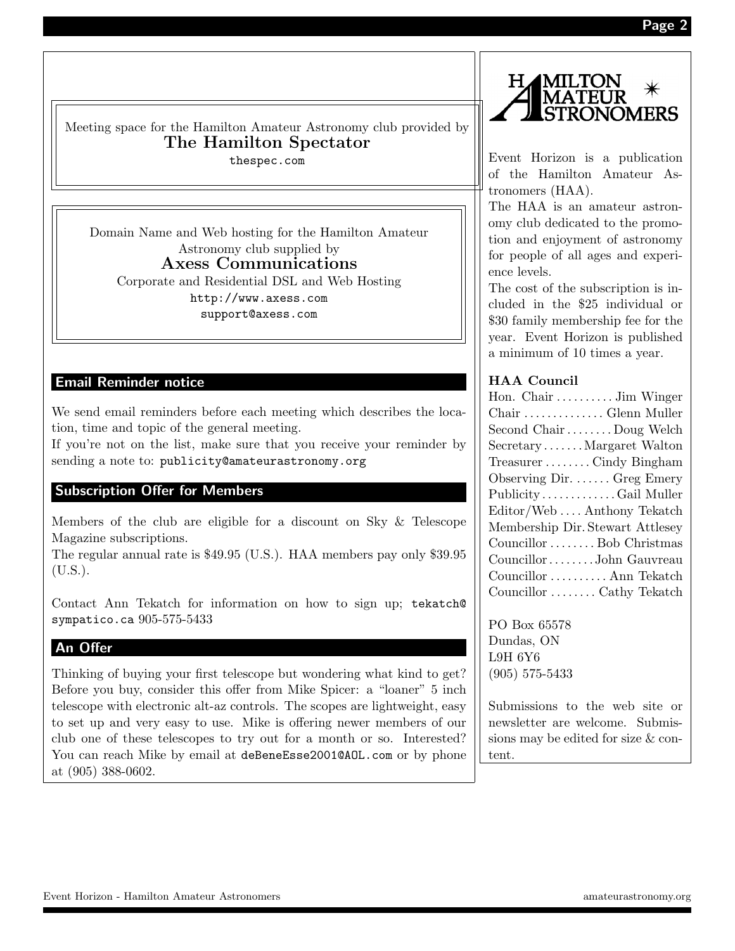MERS

Event Horizon - Hamilton Amateur Astronomers amateurastronomy.org

thespec.com

Domain Name and Web hosting for the Hamilton Amateur Astronomy club supplied by Axess Communications Corporate and Residential DSL and Web Hosting http://www.axess.com support@axess.com

# Email Reminder notice

We send email reminders before each meeting which describes the location, time and topic of the general meeting.

If you're not on the list, make sure that you receive your reminder by sending a note to: publicity@amateurastronomy.org

# Subscription Offer for Members

Members of the club are eligible for a discount on Sky & Telescope Magazine subscriptions.

The regular annual rate is \$49.95 (U.S.). HAA members pay only \$39.95  $(U.S.).$ 

Contact Ann Tekatch for information on how to sign up; tekatch@ sympatico.ca 905-575-5433

### An Offer

Thinking of buying your first telescope but wondering what kind to get? Before you buy, consider this offer from Mike Spicer: a "loaner" 5 inch telescope with electronic alt-az controls. The scopes are lightweight, easy to set up and very easy to use. Mike is offering newer members of our club one of these telescopes to try out for a month or so. Interested? You can reach Mike by email at deBeneEsse2001@AOL.com or by phone at (905) 388-0602.



The HAA is an amateur astronomy club dedicated to the promotion and enjoyment of astronomy for people of all ages and experience levels.

The cost of the subscription is included in the \$25 individual or \$30 family membership fee for the year. Event Horizon is published a minimum of 10 times a year.

#### HAA Council

Η.

| Hon. Chair  Jim Winger           |
|----------------------------------|
| Chair  Glenn Muller              |
| Second Chair  Doug Welch         |
| SecretaryMargaret Walton         |
| TreasurerCindy Bingham           |
| Observing Dir.  Greg Emery       |
| PublicityGail Muller             |
| Editor/WebAnthony Tekatch        |
| Membership Dir. Stewart Attlesey |
| Councillor Bob Christmas         |
| CouncillorJohn Gauvreau          |
| Councillor  Ann Tekatch          |
| Councillor  Cathy Tekatch        |

PO Box 65578 Dundas, ON L9H 6Y6 (905) 575-5433

Submissions to the web site or newsletter are welcome. Submissions may be edited for size & content.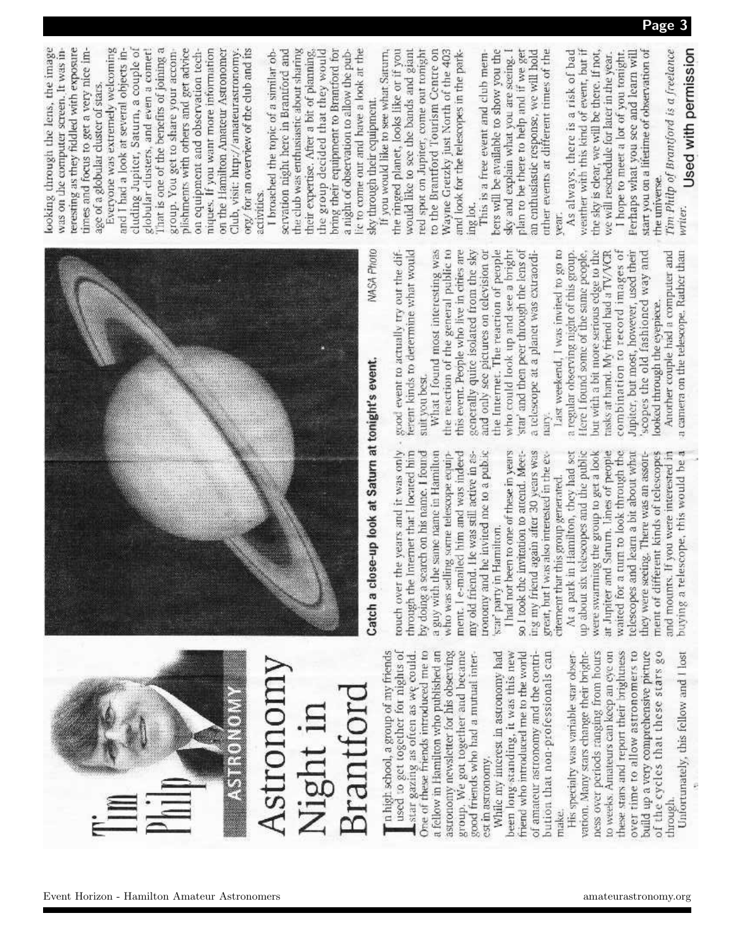| Event Horizon - Hamilton Amateur Astronomers |  | the contract of the contract of the contract of the contract of the contract of the contract of the contract of<br>amateurastronomy.org |
|----------------------------------------------|--|-----------------------------------------------------------------------------------------------------------------------------------------|
|----------------------------------------------|--|-----------------------------------------------------------------------------------------------------------------------------------------|



used to get together for nights of One of these friends introduced me to group. We got together and became " n high school, a group of my friends star gazing as often as we could. a fellow in Hamilton who published an astronomy newsletter for his observing

bution that non-professionals can good friends who had a mutual inter-While my interest in astronomy had been long-standing, it was this new friend who introduced me to the world of amateur astronomy and the contriest in astronomy,

ness over periods ranging from hours these stars and report their brightness of the cycles that these stars go vation. Many stars change their brightover time to allow astronomers to to weeks. Amateurs can keep an eye on build up a very comprehensive picture His specialty was variable star obserthrough make.

Unfortunately, this fellow and I lost



Catch a close-up look at Saturn at tonight's event.

through the Internet that I located him by doing a search on his name. I found a guy with the same name in Hamilton who was selling some telescope equipment. I e-mailed him and was indeed my old friend. He was still active in asronomy and he invited me to a public star' party in Hamilton.

had not been to one of these in years so I took the invitation to attend. Meeting my friend again after 30 years was great, but I was also interested in the excirement that this group generated.

At a park in Hamilton, they had set up about six telescopes and the public were swarming the group to get a look at Juniter and Saturn. Lines of people waited for a turn to look through the telescopes and learn a bit about what they were seeing. There was an assortbuying a telescope, this would be a ment of different londs of telescopes and mounts. If you were interested in

terent kinds to determine what would touch over the years and it was only - good event to actually try out the difsuit you best.

the reaction of the general public to who could look up and see a bright star' and then peer through the lens of What I found most interesting was this event. People who live in cities are generally quite isolated from the sky the Internet. The reaction of people and only see pictures on television or a telescope at a planet was extraordinary.

Last weekend, I was invited to go to but with a bit more serious edge to the Jupiter, but most, however, used their a regular observing night of this group. Here I found some of the same people, trasks at hand. My friend had a TV/VCR combination to record images of scopes the old fashioned way and looked through the eyepiece.

a camera on the telescope. Rather than Another couple had a computer and

teresting as they fiddled with exposure looking through the lens, the image was on the computer screen. It was intimes and focus to get a very nice image of a globular cluster of stars,

That is one of the benefits of joining a Everyone was extremely welcoming cluding Jupiter, Saturn, a couple of plishments with others and get advice and I had a look at several objects inglobular clusters, and even a comet! group. You get to share your accomniques. If you want more information on the Hamilton Amateur Astronomer org/ for an overview of the club and its on equipment and observation tech-Club, visit: http://amateurastronomy. activities.

the club was enthusiastic about sharing bring their equipment to Brantford for ic to come out and have a look at the I broached the topic of a similar observation night here in Brantford and the group decided that they would a night of observation to allow the pubtheir expertise. After a bit of planning sky through their equipment.

the ringed planet, looks like or if you would like to see the bands and giant red spot on Jupiter, come out tonight to the Brantford Tourism Centre on If you would like to see what Saturn, Wayne Gretzky just North of the 403 and look for the telescopes in the parking lot.

bers will be available to show you the plan to be there to help and if we get an enthusiastic response, we will hold other events at different times of the This is a free event and club memsky and explain what you are seeing. vear.

As always, there is a risk of bad the sky is clear, we will be there. If not, weather with this kind of event, but if I hope to meet a lot of you tonight. Ferhaps what you see and learn will start you on a lifetime of observation of we will reschedule for later in the year. the universe.

Tim Philp of Brantford is a freelance Used with permission writer.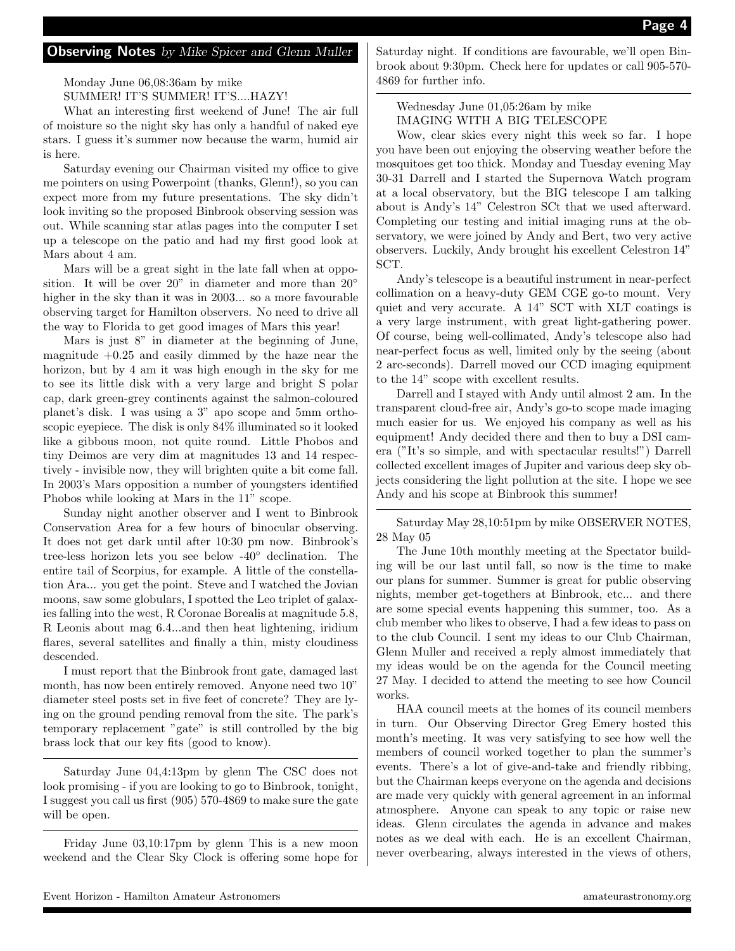#### **Observing Notes** by Mike Spicer and Glenn Muller

Monday June 06,08:36am by mike

SUMMER! IT'S SUMMER! IT'S....HAZY!

What an interesting first weekend of June! The air full of moisture so the night sky has only a handful of naked eye stars. I guess it's summer now because the warm, humid air is here.

Saturday evening our Chairman visited my office to give me pointers on using Powerpoint (thanks, Glenn!), so you can expect more from my future presentations. The sky didn't look inviting so the proposed Binbrook observing session was out. While scanning star atlas pages into the computer I set up a telescope on the patio and had my first good look at Mars about 4 am.

Mars will be a great sight in the late fall when at opposition. It will be over 20" in diameter and more than 20° higher in the sky than it was in 2003... so a more favourable observing target for Hamilton observers. No need to drive all the way to Florida to get good images of Mars this year!

Mars is just 8" in diameter at the beginning of June, magnitude  $+0.25$  and easily dimmed by the haze near the horizon, but by 4 am it was high enough in the sky for me to see its little disk with a very large and bright S polar cap, dark green-grey continents against the salmon-coloured planet's disk. I was using a 3" apo scope and 5mm orthoscopic eyepiece. The disk is only 84% illuminated so it looked like a gibbous moon, not quite round. Little Phobos and tiny Deimos are very dim at magnitudes 13 and 14 respectively - invisible now, they will brighten quite a bit come fall. In 2003's Mars opposition a number of youngsters identified Phobos while looking at Mars in the 11" scope.

Sunday night another observer and I went to Binbrook Conservation Area for a few hours of binocular observing. It does not get dark until after 10:30 pm now. Binbrook's tree-less horizon lets you see below -40◦ declination. The entire tail of Scorpius, for example. A little of the constellation Ara... you get the point. Steve and I watched the Jovian moons, saw some globulars, I spotted the Leo triplet of galaxies falling into the west, R Coronae Borealis at magnitude 5.8, R Leonis about mag 6.4...and then heat lightening, iridium flares, several satellites and finally a thin, misty cloudiness descended.

I must report that the Binbrook front gate, damaged last month, has now been entirely removed. Anyone need two 10" diameter steel posts set in five feet of concrete? They are lying on the ground pending removal from the site. The park's temporary replacement "gate" is still controlled by the big brass lock that our key fits (good to know).

Saturday June 04,4:13pm by glenn The CSC does not look promising - if you are looking to go to Binbrook, tonight, I suggest you call us first (905) 570-4869 to make sure the gate will be open.

Friday June 03,10:17pm by glenn This is a new moon weekend and the Clear Sky Clock is offering some hope for Saturday night. If conditions are favourable, we'll open Binbrook about 9:30pm. Check here for updates or call 905-570- 4869 for further info.

Wednesday June 01,05:26am by mike IMAGING WITH A BIG TELESCOPE

Wow, clear skies every night this week so far. I hope you have been out enjoying the observing weather before the mosquitoes get too thick. Monday and Tuesday evening May 30-31 Darrell and I started the Supernova Watch program at a local observatory, but the BIG telescope I am talking about is Andy's 14" Celestron SCt that we used afterward. Completing our testing and initial imaging runs at the observatory, we were joined by Andy and Bert, two very active observers. Luckily, Andy brought his excellent Celestron 14" SCT.

Andy's telescope is a beautiful instrument in near-perfect collimation on a heavy-duty GEM CGE go-to mount. Very quiet and very accurate. A 14" SCT with XLT coatings is a very large instrument, with great light-gathering power. Of course, being well-collimated, Andy's telescope also had near-perfect focus as well, limited only by the seeing (about 2 arc-seconds). Darrell moved our CCD imaging equipment to the 14" scope with excellent results.

Darrell and I stayed with Andy until almost 2 am. In the transparent cloud-free air, Andy's go-to scope made imaging much easier for us. We enjoyed his company as well as his equipment! Andy decided there and then to buy a DSI camera ("It's so simple, and with spectacular results!") Darrell collected excellent images of Jupiter and various deep sky objects considering the light pollution at the site. I hope we see Andy and his scope at Binbrook this summer!

Saturday May 28,10:51pm by mike OBSERVER NOTES, 28 May 05

The June 10th monthly meeting at the Spectator building will be our last until fall, so now is the time to make our plans for summer. Summer is great for public observing nights, member get-togethers at Binbrook, etc... and there are some special events happening this summer, too. As a club member who likes to observe, I had a few ideas to pass on to the club Council. I sent my ideas to our Club Chairman, Glenn Muller and received a reply almost immediately that my ideas would be on the agenda for the Council meeting 27 May. I decided to attend the meeting to see how Council works.

HAA council meets at the homes of its council members in turn. Our Observing Director Greg Emery hosted this month's meeting. It was very satisfying to see how well the members of council worked together to plan the summer's events. There's a lot of give-and-take and friendly ribbing, but the Chairman keeps everyone on the agenda and decisions are made very quickly with general agreement in an informal atmosphere. Anyone can speak to any topic or raise new ideas. Glenn circulates the agenda in advance and makes notes as we deal with each. He is an excellent Chairman, never overbearing, always interested in the views of others,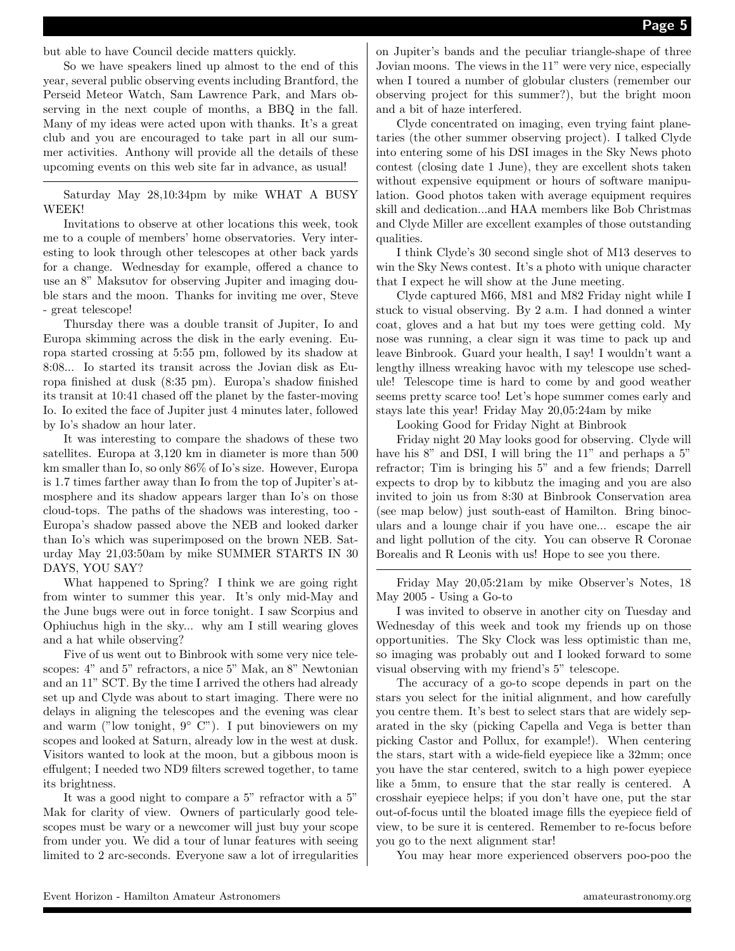but able to have Council decide matters quickly.

So we have speakers lined up almost to the end of this year, several public observing events including Brantford, the Perseid Meteor Watch, Sam Lawrence Park, and Mars observing in the next couple of months, a BBQ in the fall. Many of my ideas were acted upon with thanks. It's a great club and you are encouraged to take part in all our summer activities. Anthony will provide all the details of these upcoming events on this web site far in advance, as usual!

Saturday May 28,10:34pm by mike WHAT A BUSY WEEK!

Invitations to observe at other locations this week, took me to a couple of members' home observatories. Very interesting to look through other telescopes at other back yards for a change. Wednesday for example, offered a chance to use an 8" Maksutov for observing Jupiter and imaging double stars and the moon. Thanks for inviting me over, Steve - great telescope!

Thursday there was a double transit of Jupiter, Io and Europa skimming across the disk in the early evening. Europa started crossing at 5:55 pm, followed by its shadow at 8:08... Io started its transit across the Jovian disk as Europa finished at dusk (8:35 pm). Europa's shadow finished its transit at 10:41 chased off the planet by the faster-moving Io. Io exited the face of Jupiter just 4 minutes later, followed by Io's shadow an hour later.

It was interesting to compare the shadows of these two satellites. Europa at 3,120 km in diameter is more than 500 km smaller than Io, so only 86% of Io's size. However, Europa is 1.7 times farther away than Io from the top of Jupiter's atmosphere and its shadow appears larger than Io's on those cloud-tops. The paths of the shadows was interesting, too - Europa's shadow passed above the NEB and looked darker than Io's which was superimposed on the brown NEB. Saturday May 21,03:50am by mike SUMMER STARTS IN 30 DAYS, YOU SAY?

What happened to Spring? I think we are going right from winter to summer this year. It's only mid-May and the June bugs were out in force tonight. I saw Scorpius and Ophiuchus high in the sky... why am I still wearing gloves and a hat while observing?

Five of us went out to Binbrook with some very nice telescopes: 4" and 5" refractors, a nice 5" Mak, an 8" Newtonian and an 11" SCT. By the time I arrived the others had already set up and Clyde was about to start imaging. There were no delays in aligning the telescopes and the evening was clear and warm ("low tonight,  $9°$  C"). I put binoviewers on my scopes and looked at Saturn, already low in the west at dusk. Visitors wanted to look at the moon, but a gibbous moon is effulgent; I needed two ND9 filters screwed together, to tame its brightness.

It was a good night to compare a 5" refractor with a 5" Mak for clarity of view. Owners of particularly good telescopes must be wary or a newcomer will just buy your scope from under you. We did a tour of lunar features with seeing limited to 2 arc-seconds. Everyone saw a lot of irregularities on Jupiter's bands and the peculiar triangle-shape of three Jovian moons. The views in the 11" were very nice, especially when I toured a number of globular clusters (remember our observing project for this summer?), but the bright moon and a bit of haze interfered.

Clyde concentrated on imaging, even trying faint planetaries (the other summer observing project). I talked Clyde into entering some of his DSI images in the Sky News photo contest (closing date 1 June), they are excellent shots taken without expensive equipment or hours of software manipulation. Good photos taken with average equipment requires skill and dedication...and HAA members like Bob Christmas and Clyde Miller are excellent examples of those outstanding qualities.

I think Clyde's 30 second single shot of M13 deserves to win the Sky News contest. It's a photo with unique character that I expect he will show at the June meeting.

Clyde captured M66, M81 and M82 Friday night while I stuck to visual observing. By 2 a.m. I had donned a winter coat, gloves and a hat but my toes were getting cold. My nose was running, a clear sign it was time to pack up and leave Binbrook. Guard your health, I say! I wouldn't want a lengthy illness wreaking havoc with my telescope use schedule! Telescope time is hard to come by and good weather seems pretty scarce too! Let's hope summer comes early and stays late this year! Friday May 20,05:24am by mike

Looking Good for Friday Night at Binbrook

Friday night 20 May looks good for observing. Clyde will have his 8" and DSI, I will bring the 11" and perhaps a 5" refractor; Tim is bringing his 5" and a few friends; Darrell expects to drop by to kibbutz the imaging and you are also invited to join us from 8:30 at Binbrook Conservation area (see map below) just south-east of Hamilton. Bring binoculars and a lounge chair if you have one... escape the air and light pollution of the city. You can observe R Coronae Borealis and R Leonis with us! Hope to see you there.

Friday May 20,05:21am by mike Observer's Notes, 18 May 2005 - Using a Go-to

I was invited to observe in another city on Tuesday and Wednesday of this week and took my friends up on those opportunities. The Sky Clock was less optimistic than me, so imaging was probably out and I looked forward to some visual observing with my friend's 5" telescope.

The accuracy of a go-to scope depends in part on the stars you select for the initial alignment, and how carefully you centre them. It's best to select stars that are widely separated in the sky (picking Capella and Vega is better than picking Castor and Pollux, for example!). When centering the stars, start with a wide-field eyepiece like a 32mm; once you have the star centered, switch to a high power eyepiece like a 5mm, to ensure that the star really is centered. A crosshair eyepiece helps; if you don't have one, put the star out-of-focus until the bloated image fills the eyepiece field of view, to be sure it is centered. Remember to re-focus before you go to the next alignment star!

You may hear more experienced observers poo-poo the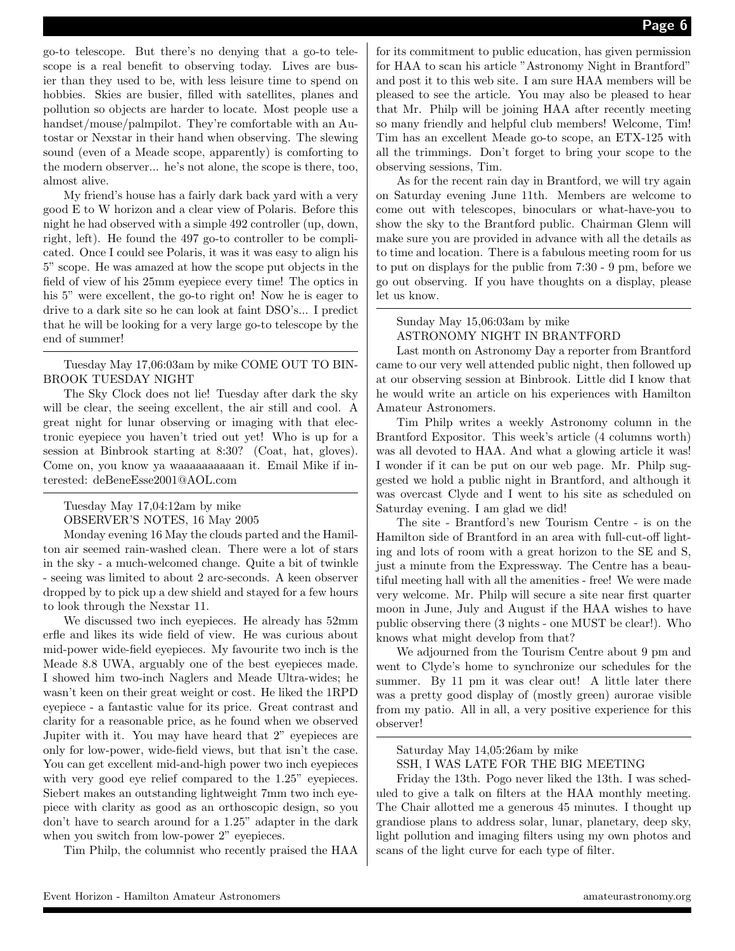go-to telescope. But there's no denying that a go-to telescope is a real benefit to observing today. Lives are busier than they used to be, with less leisure time to spend on hobbies. Skies are busier, filled with satellites, planes and pollution so objects are harder to locate. Most people use a handset/mouse/palmpilot. They're comfortable with an Autostar or Nexstar in their hand when observing. The slewing sound (even of a Meade scope, apparently) is comforting to the modern observer... he's not alone, the scope is there, too, almost alive.

My friend's house has a fairly dark back yard with a very good E to W horizon and a clear view of Polaris. Before this night he had observed with a simple 492 controller (up, down, right, left). He found the 497 go-to controller to be complicated. Once I could see Polaris, it was it was easy to align his 5" scope. He was amazed at how the scope put objects in the field of view of his 25mm eyepiece every time! The optics in his 5" were excellent, the go-to right on! Now he is eager to drive to a dark site so he can look at faint DSO's... I predict that he will be looking for a very large go-to telescope by the end of summer!

Tuesday May 17,06:03am by mike COME OUT TO BIN-BROOK TUESDAY NIGHT

The Sky Clock does not lie! Tuesday after dark the sky will be clear, the seeing excellent, the air still and cool. A great night for lunar observing or imaging with that electronic eyepiece you haven't tried out yet! Who is up for a session at Binbrook starting at 8:30? (Coat, hat, gloves). Come on, you know ya waaaaaaaaaan it. Email Mike if interested: deBeneEsse2001@AOL.com

Tuesday May 17,04:12am by mike OBSERVER'S NOTES, 16 May 2005

Monday evening 16 May the clouds parted and the Hamilton air seemed rain-washed clean. There were a lot of stars in the sky - a much-welcomed change. Quite a bit of twinkle - seeing was limited to about 2 arc-seconds. A keen observer dropped by to pick up a dew shield and stayed for a few hours to look through the Nexstar 11.

We discussed two inch eyepieces. He already has 52mm erfle and likes its wide field of view. He was curious about mid-power wide-field eyepieces. My favourite two inch is the Meade 8.8 UWA, arguably one of the best eyepieces made. I showed him two-inch Naglers and Meade Ultra-wides; he wasn't keen on their great weight or cost. He liked the 1RPD eyepiece - a fantastic value for its price. Great contrast and clarity for a reasonable price, as he found when we observed Jupiter with it. You may have heard that 2" eyepieces are only for low-power, wide-field views, but that isn't the case. You can get excellent mid-and-high power two inch eyepieces with very good eye relief compared to the  $1.25$ " eyepieces. Siebert makes an outstanding lightweight 7mm two inch eyepiece with clarity as good as an orthoscopic design, so you don't have to search around for a 1.25" adapter in the dark when you switch from low-power 2" eyepieces.

Tim Philp, the columnist who recently praised the HAA

for its commitment to public education, has given permission for HAA to scan his article "Astronomy Night in Brantford" and post it to this web site. I am sure HAA members will be pleased to see the article. You may also be pleased to hear that Mr. Philp will be joining HAA after recently meeting so many friendly and helpful club members! Welcome, Tim! Tim has an excellent Meade go-to scope, an ETX-125 with all the trimmings. Don't forget to bring your scope to the observing sessions, Tim.

As for the recent rain day in Brantford, we will try again on Saturday evening June 11th. Members are welcome to come out with telescopes, binoculars or what-have-you to show the sky to the Brantford public. Chairman Glenn will make sure you are provided in advance with all the details as to time and location. There is a fabulous meeting room for us to put on displays for the public from 7:30 - 9 pm, before we go out observing. If you have thoughts on a display, please let us know.

Sunday May 15,06:03am by mike ASTRONOMY NIGHT IN BRANTFORD

Last month on Astronomy Day a reporter from Brantford came to our very well attended public night, then followed up at our observing session at Binbrook. Little did I know that he would write an article on his experiences with Hamilton Amateur Astronomers.

Tim Philp writes a weekly Astronomy column in the Brantford Expositor. This week's article (4 columns worth) was all devoted to HAA. And what a glowing article it was! I wonder if it can be put on our web page. Mr. Philp suggested we hold a public night in Brantford, and although it was overcast Clyde and I went to his site as scheduled on Saturday evening. I am glad we did!

The site - Brantford's new Tourism Centre - is on the Hamilton side of Brantford in an area with full-cut-off lighting and lots of room with a great horizon to the SE and S, just a minute from the Expressway. The Centre has a beautiful meeting hall with all the amenities - free! We were made very welcome. Mr. Philp will secure a site near first quarter moon in June, July and August if the HAA wishes to have public observing there (3 nights - one MUST be clear!). Who knows what might develop from that?

We adjourned from the Tourism Centre about 9 pm and went to Clyde's home to synchronize our schedules for the summer. By 11 pm it was clear out! A little later there was a pretty good display of (mostly green) aurorae visible from my patio. All in all, a very positive experience for this observer!

Saturday May 14,05:26am by mike SSH, I WAS LATE FOR THE BIG MEETING

Friday the 13th. Pogo never liked the 13th. I was scheduled to give a talk on filters at the HAA monthly meeting. The Chair allotted me a generous 45 minutes. I thought up grandiose plans to address solar, lunar, planetary, deep sky, light pollution and imaging filters using my own photos and scans of the light curve for each type of filter.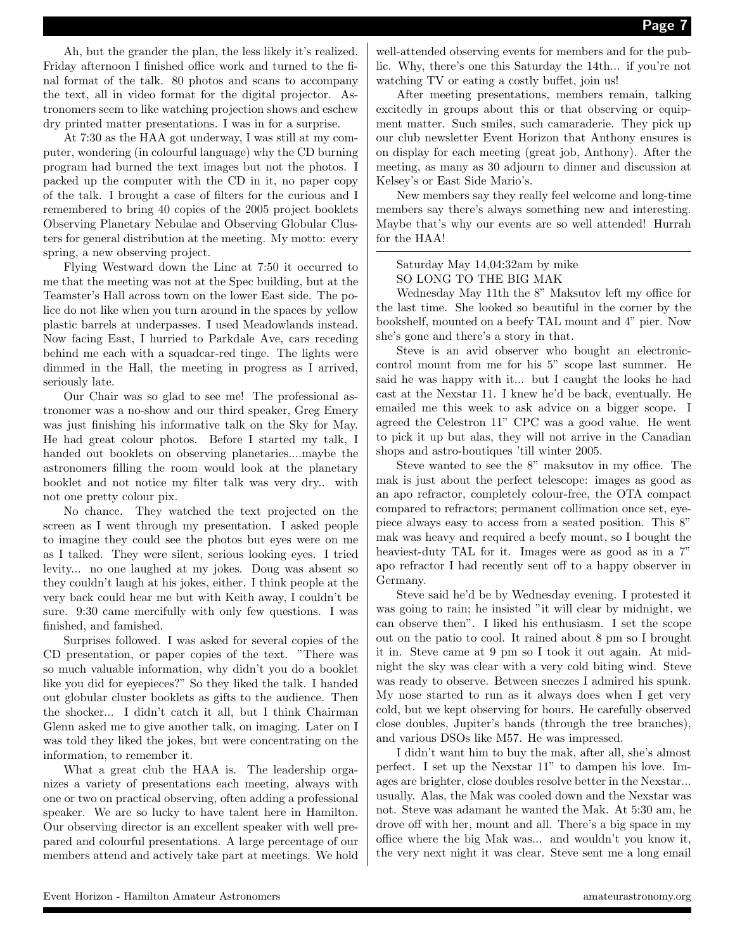Ah, but the grander the plan, the less likely it's realized. Friday afternoon I finished office work and turned to the final format of the talk. 80 photos and scans to accompany the text, all in video format for the digital projector. Astronomers seem to like watching projection shows and eschew dry printed matter presentations. I was in for a surprise.

At 7:30 as the HAA got underway, I was still at my computer, wondering (in colourful language) why the CD burning program had burned the text images but not the photos. I packed up the computer with the CD in it, no paper copy of the talk. I brought a case of filters for the curious and I remembered to bring 40 copies of the 2005 project booklets Observing Planetary Nebulae and Observing Globular Clusters for general distribution at the meeting. My motto: every spring, a new observing project.

Flying Westward down the Linc at 7:50 it occurred to me that the meeting was not at the Spec building, but at the Teamster's Hall across town on the lower East side. The police do not like when you turn around in the spaces by yellow plastic barrels at underpasses. I used Meadowlands instead. Now facing East, I hurried to Parkdale Ave, cars receding behind me each with a squadcar-red tinge. The lights were dimmed in the Hall, the meeting in progress as I arrived, seriously late.

Our Chair was so glad to see me! The professional astronomer was a no-show and our third speaker, Greg Emery was just finishing his informative talk on the Sky for May. He had great colour photos. Before I started my talk, I handed out booklets on observing planetaries....maybe the astronomers filling the room would look at the planetary booklet and not notice my filter talk was very dry.. with not one pretty colour pix.

No chance. They watched the text projected on the screen as I went through my presentation. I asked people to imagine they could see the photos but eyes were on me as I talked. They were silent, serious looking eyes. I tried levity... no one laughed at my jokes. Doug was absent so they couldn't laugh at his jokes, either. I think people at the very back could hear me but with Keith away, I couldn't be sure. 9:30 came mercifully with only few questions. I was finished, and famished.

Surprises followed. I was asked for several copies of the CD presentation, or paper copies of the text. "There was so much valuable information, why didn't you do a booklet like you did for eyepieces?" So they liked the talk. I handed out globular cluster booklets as gifts to the audience. Then the shocker... I didn't catch it all, but I think Chairman Glenn asked me to give another talk, on imaging. Later on I was told they liked the jokes, but were concentrating on the information, to remember it.

What a great club the HAA is. The leadership organizes a variety of presentations each meeting, always with one or two on practical observing, often adding a professional speaker. We are so lucky to have talent here in Hamilton. Our observing director is an excellent speaker with well prepared and colourful presentations. A large percentage of our members attend and actively take part at meetings. We hold

well-attended observing events for members and for the public. Why, there's one this Saturday the 14th... if you're not watching TV or eating a costly buffet, join us!

After meeting presentations, members remain, talking excitedly in groups about this or that observing or equipment matter. Such smiles, such camaraderie. They pick up our club newsletter Event Horizon that Anthony ensures is on display for each meeting (great job, Anthony). After the meeting, as many as 30 adjourn to dinner and discussion at Kelsey's or East Side Mario's.

New members say they really feel welcome and long-time members say there's always something new and interesting. Maybe that's why our events are so well attended! Hurrah for the HAA!

#### Saturday May 14,04:32am by mike SO LONG TO THE BIG MAK

Wednesday May 11th the 8" Maksutov left my office for the last time. She looked so beautiful in the corner by the bookshelf, mounted on a beefy TAL mount and 4" pier. Now she's gone and there's a story in that.

Steve is an avid observer who bought an electroniccontrol mount from me for his 5" scope last summer. He said he was happy with it... but I caught the looks he had cast at the Nexstar 11. I knew he'd be back, eventually. He emailed me this week to ask advice on a bigger scope. I agreed the Celestron 11" CPC was a good value. He went to pick it up but alas, they will not arrive in the Canadian shops and astro-boutiques 'till winter 2005.

Steve wanted to see the 8" maksutov in my office. The mak is just about the perfect telescope: images as good as an apo refractor, completely colour-free, the OTA compact compared to refractors; permanent collimation once set, eyepiece always easy to access from a seated position. This 8" mak was heavy and required a beefy mount, so I bought the heaviest-duty TAL for it. Images were as good as in a  $7$ " apo refractor I had recently sent off to a happy observer in Germany.

Steve said he'd be by Wednesday evening. I protested it was going to rain; he insisted "it will clear by midnight, we can observe then". I liked his enthusiasm. I set the scope out on the patio to cool. It rained about 8 pm so I brought it in. Steve came at 9 pm so I took it out again. At midnight the sky was clear with a very cold biting wind. Steve was ready to observe. Between sneezes I admired his spunk. My nose started to run as it always does when I get very cold, but we kept observing for hours. He carefully observed close doubles, Jupiter's bands (through the tree branches), and various DSOs like M57. He was impressed.

I didn't want him to buy the mak, after all, she's almost perfect. I set up the Nexstar 11" to dampen his love. Images are brighter, close doubles resolve better in the Nexstar... usually. Alas, the Mak was cooled down and the Nexstar was not. Steve was adamant he wanted the Mak. At 5:30 am, he drove off with her, mount and all. There's a big space in my office where the big Mak was... and wouldn't you know it, the very next night it was clear. Steve sent me a long email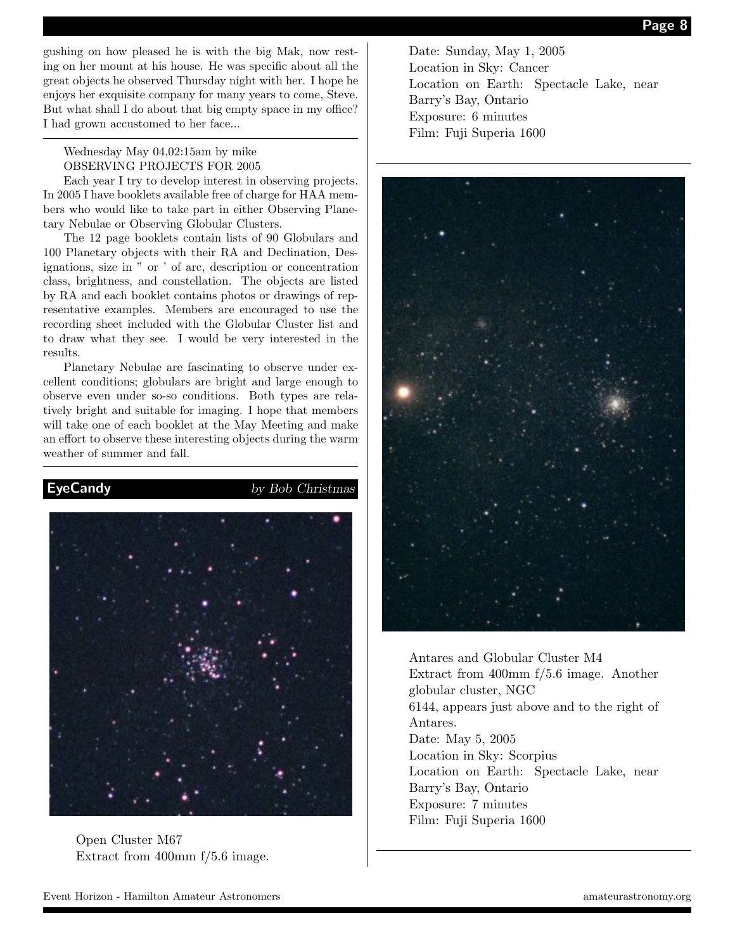gushing on how pleased he is with the big Mak, now resting on her mount at his house. He was specific about all the great objects he observed Thursday night with her. I hope he enjoys her exquisite company for many years to come, Steve. But what shall I do about that big empty space in my office? I had grown accustomed to her face...

Wednesday May 04,02:15am by mike OBSERVING PROJECTS FOR 2005

Each year I try to develop interest in observing projects. In 2005 I have booklets available free of charge for HAA members who would like to take part in either Observing Planetary Nebulae or Observing Globular Clusters.

The 12 page booklets contain lists of 90 Globulars and 100 Planetary objects with their RA and Declination, Designations, size in " or ' of arc, description or concentration class, brightness, and constellation. The objects are listed by RA and each booklet contains photos or drawings of representative examples. Members are encouraged to use the recording sheet included with the Globular Cluster list and to draw what they see. I would be very interested in the results.

Planetary Nebulae are fascinating to observe under excellent conditions; globulars are bright and large enough to observe even under so-so conditions. Both types are relatively bright and suitable for imaging. I hope that members will take one of each booklet at the May Meeting and make an effort to observe these interesting objects during the warm weather of summer and fall.



Open Cluster M67 Extract from 400mm f/5.6 image.

Date: Sunday, May 1, 2005 Location in Sky: Cancer Location on Earth: Spectacle Lake, near Barry's Bay, Ontario Exposure: 6 minutes Film: Fuji Superia 1600



Antares and Globular Cluster M4 Extract from 400mm f/5.6 image. Another globular cluster, NGC 6144, appears just above and to the right of Antares. Date: May 5, 2005 Location in Sky: Scorpius Location on Earth: Spectacle Lake, near Barry's Bay, Ontario Exposure: 7 minutes Film: Fuji Superia 1600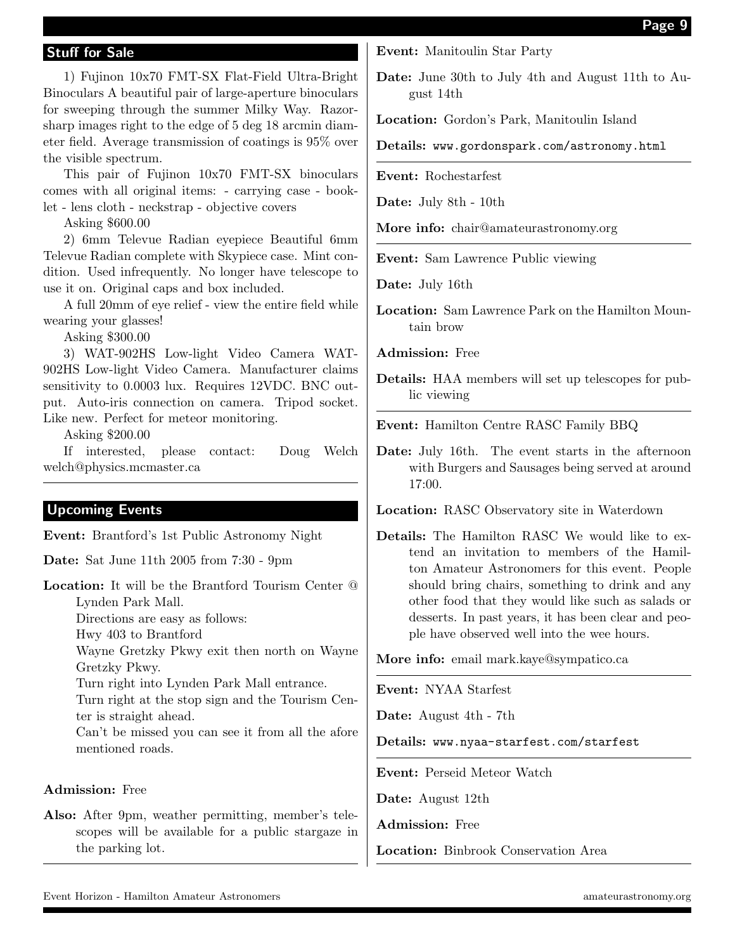# Stuff for Sale

1) Fujinon 10x70 FMT-SX Flat-Field Ultra-Bright Binoculars A beautiful pair of large-aperture binoculars for sweeping through the summer Milky Way. Razorsharp images right to the edge of 5 deg 18 arcmin diameter field. Average transmission of coatings is 95% over the visible spectrum.

This pair of Fujinon 10x70 FMT-SX binoculars comes with all original items: - carrying case - booklet - lens cloth - neckstrap - objective covers

Asking \$600.00

2) 6mm Televue Radian eyepiece Beautiful 6mm Televue Radian complete with Skypiece case. Mint condition. Used infrequently. No longer have telescope to use it on. Original caps and box included.

A full 20mm of eye relief - view the entire field while wearing your glasses!

Asking \$300.00

3) WAT-902HS Low-light Video Camera WAT-902HS Low-light Video Camera. Manufacturer claims sensitivity to 0.0003 lux. Requires 12VDC. BNC output. Auto-iris connection on camera. Tripod socket. Like new. Perfect for meteor monitoring.

Asking \$200.00

If interested, please contact: Doug Welch welch@physics.mcmaster.ca

# Upcoming Events

Event: Brantford's 1st Public Astronomy Night

Date: Sat June 11th 2005 from 7:30 - 9pm

Location: It will be the Brantford Tourism Center @ Lynden Park Mall. Directions are easy as follows: Hwy 403 to Brantford Wayne Gretzky Pkwy exit then north on Wayne Gretzky Pkwy. Turn right into Lynden Park Mall entrance. Turn right at the stop sign and the Tourism Center is straight ahead. Can't be missed you can see it from all the afore mentioned roads.

#### Admission: Free

Also: After 9pm, weather permitting, member's telescopes will be available for a public stargaze in the parking lot.

Event: Manitoulin Star Party

Date: June 30th to July 4th and August 11th to August 14th

Location: Gordon's Park, Manitoulin Island

Details: www.gordonspark.com/astronomy.html

Event: Rochestarfest

Date: July 8th - 10th

More info: chair@amateurastronomy.org

Event: Sam Lawrence Public viewing

Date: July 16th

Location: Sam Lawrence Park on the Hamilton Mountain brow

Admission: Free

Details: HAA members will set up telescopes for public viewing

Event: Hamilton Centre RASC Family BBQ

Date: July 16th. The event starts in the afternoon with Burgers and Sausages being served at around 17:00.

Location: RASC Observatory site in Waterdown

Details: The Hamilton RASC We would like to extend an invitation to members of the Hamilton Amateur Astronomers for this event. People should bring chairs, something to drink and any other food that they would like such as salads or desserts. In past years, it has been clear and people have observed well into the wee hours.

More info: email mark.kaye@sympatico.ca

Event: NYAA Starfest

Date: August 4th - 7th

Details: www.nyaa-starfest.com/starfest

Event: Perseid Meteor Watch

Date: August 12th

Admission: Free

Location: Binbrook Conservation Area